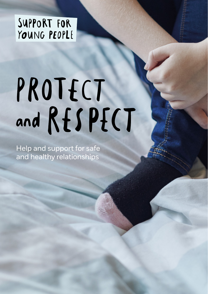SUPPORT FOR YOUNG PEOPLE

## PROTECT and RESPECT

Help and support for safe and healthy relationships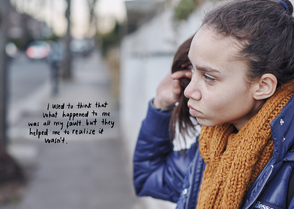I used to think that<br>what happened to me<br>was all my fault but they<br>helped me to realise it<br>wasn't.

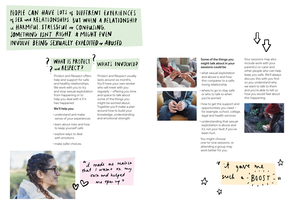PEOPLE CAN HAVE LOTS of DIFFERENT EXPERIENCES of JEX and RELATIONSHIPS. BUT WHEN A RELATIONSHIP is HARMFUL. STRESSFUL or CONFUSING. SOMETHING ISN'T RIGHT & MIGHT EVEN INVOLVE BEING SEXUALLY EXPLOITED or ABUSED.



Protect and Respect offers help and support for safe and healthy relationships. We work with you to try and stop sexual exploitation from happening or to help you deal with it if it has happened.

## **We'll help you:**

- understand and make sense of your experiences
- learn about risks and how to keep yourself safe
- explore ways to deal with emotions
- make safer choices.

Protect and Respect usually lasts around six months. You'll have your own worker who will meet with you regularly – offering you time and space to talk about some of the things you might be worried about. Together you'll make a plan around how to build your knowledge, understanding and emotional strength.





## **Some of the things you might talk about in your sessions could be:**

- what sexual exploitation and abuse is and how this compares to a safe, loving relationship
- where to go to stay safe or who to talk to when you're worried
- how to get the support and opportunities you need – for example, school, college, legal and health services
- understanding that sexual exploitation is abuse and it's not your fault if you've been hurt.

You might choose one-to-one sessions, or attending a group may work better for you.



Your sessions may also include work with your parent(s) or carer and other people who can help keep you safe. We'll always discuss this with you first so you understand why we want to talk to them and you're able to tell us how you would feel about this happening.





"it made me realise<br>that I wasn't on my<br>own and helped<br>me open up "